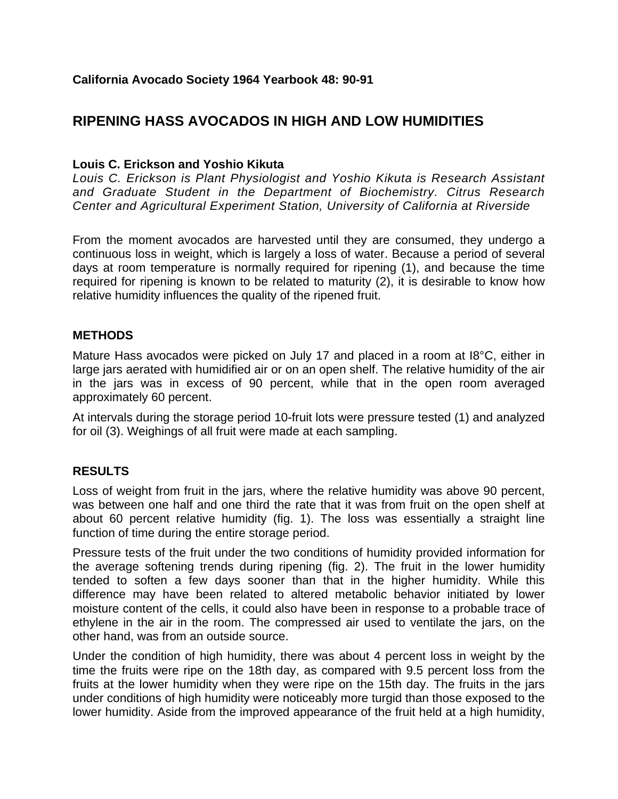# **RIPENING HASS AVOCADOS IN HIGH AND LOW HUMIDITIES**

#### **Louis C. Erickson and Yoshio Kikuta**

*Louis C. Erickson is Plant Physiologist and Yoshio Kikuta is Research Assistant and Graduate Student in the Department of Biochemistry. Citrus Research Center and Agricultural Experiment Station, University of California at Riverside* 

From the moment avocados are harvested until they are consumed, they undergo a continuous loss in weight, which is largely a loss of water. Because a period of several days at room temperature is normally required for ripening (1), and because the time required for ripening is known to be related to maturity (2), it is desirable to know how relative humidity influences the quality of the ripened fruit.

#### **METHODS**

Mature Hass avocados were picked on July 17 and placed in a room at I8°C, either in large jars aerated with humidified air or on an open shelf. The relative humidity of the air in the jars was in excess of 90 percent, while that in the open room averaged approximately 60 percent.

At intervals during the storage period 10-fruit lots were pressure tested (1) and analyzed for oil (3). Weighings of all fruit were made at each sampling.

### **RESULTS**

Loss of weight from fruit in the jars, where the relative humidity was above 90 percent, was between one half and one third the rate that it was from fruit on the open shelf at about 60 percent relative humidity (fig. 1). The loss was essentially a straight line function of time during the entire storage period.

Pressure tests of the fruit under the two conditions of humidity provided information for the average softening trends during ripening (fig. 2). The fruit in the lower humidity tended to soften a few days sooner than that in the higher humidity. While this difference may have been related to altered metabolic behavior initiated by lower moisture content of the cells, it could also have been in response to a probable trace of ethylene in the air in the room. The compressed air used to ventilate the jars, on the other hand, was from an outside source.

Under the condition of high humidity, there was about 4 percent loss in weight by the time the fruits were ripe on the 18th day, as compared with 9.5 percent loss from the fruits at the lower humidity when they were ripe on the 15th day. The fruits in the jars under conditions of high humidity were noticeably more turgid than those exposed to the lower humidity. Aside from the improved appearance of the fruit held at a high humidity,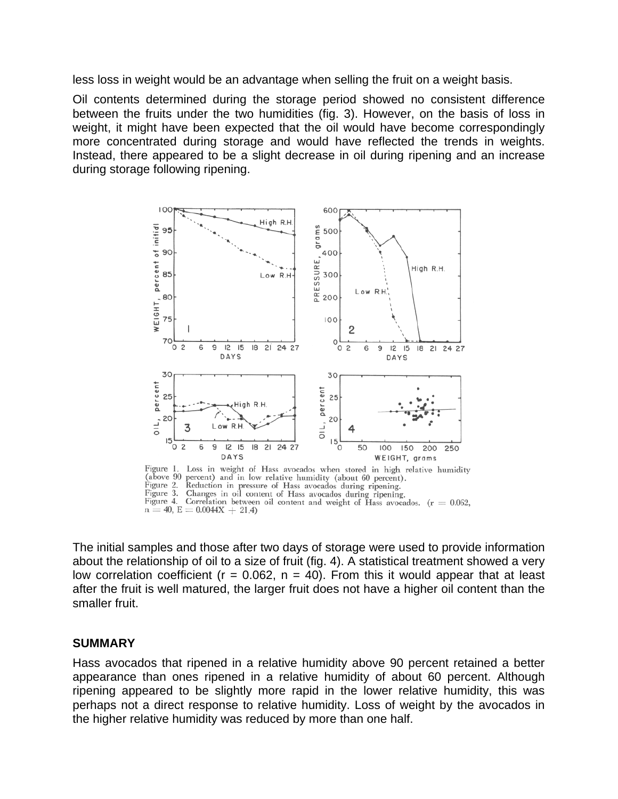less loss in weight would be an advantage when selling the fruit on a weight basis.

Oil contents determined during the storage period showed no consistent difference between the fruits under the two humidities (fig. 3). However, on the basis of loss in weight, it might have been expected that the oil would have become correspondingly more concentrated during storage and would have reflected the trends in weights. Instead, there appeared to be a slight decrease in oil during ripening and an increase during storage following ripening.



The initial samples and those after two days of storage were used to provide information about the relationship of oil to a size of fruit (fig. 4). A statistical treatment showed a very low correlation coefficient ( $r = 0.062$ ,  $n = 40$ ). From this it would appear that at least after the fruit is well matured, the larger fruit does not have a higher oil content than the smaller fruit.

#### **SUMMARY**

Hass avocados that ripened in a relative humidity above 90 percent retained a better appearance than ones ripened in a relative humidity of about 60 percent. Although ripening appeared to be slightly more rapid in the lower relative humidity, this was perhaps not a direct response to relative humidity. Loss of weight by the avocados in the higher relative humidity was reduced by more than one half.